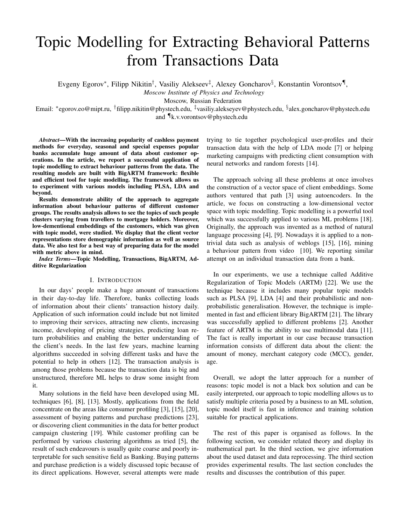# Topic Modelling for Extracting Behavioral Patterns from Transactions Data

Evgeny Egorov\*, Filipp Nikitin<sup>†</sup>, Vasiliy Alekseev<sup>‡</sup>, Alexey Goncharov<sup>§</sup>, Konstantin Vorontsov¶,

*Moscow Institute of Physics and Technology*

Moscow, Russian Federation

Email: \*egorov.eo@mipt.ru, <sup>†</sup>filipp.nikitin@phystech.edu, <sup>‡</sup>vasiliy.alekseyev@phystech.edu, <sup>§</sup>alex.goncharov@phystech.edu and ¶k.v.vorontsov@phystech.edu

*Abstract*—With the increasing popularity of cashless payment methods for everyday, seasonal and special expenses popular banks accumulate huge amount of data about customer operations. In the article, we report a successful application of topic modelling to extract behaviour patterns from the data. The resulting models are built with BigARTM framework: flexible and efficient tool for topic modelling. The framework allows us to experiment with various models including PLSA, LDA and beyond.

Results demonstrate ability of the approach to aggregate information about behaviour patterns of different customer groups. The results analysis allows to see the topics of such people clusters varying from travellers to mortgage holders. Moreover, low-dementional embeddings of the customers, which was given with topic model, were studied. We display that the client vector representations store demographic information as well as source data. We also test for a best way of preparing data for the model with metric above in mind.

*Index Terms*—Topic Modelling, Transactions, BigARTM, Additive Regularization

### I. INTRODUCTION

In our days' people make a huge amount of transactions in their day-to-day life. Therefore, banks collecting loads of information about their clients' transaction history daily. Application of such information could include but not limited to improving their services, attracting new clients, increasing income, developing of pricing strategies, predicting loan return probabilities and enabling the better understanding of the client's needs. In the last few years, machine learning algorithms succeeded in solving different tasks and have the potential to help in others [12]. The transaction analysis is among those problems because the transaction data is big and unstructured, therefore ML helps to draw some insight from it.

Many solutions in the field have been developed using ML techniques [6], [8], [13]. Mostly, applications from the field concentrate on the areas like consumer profiling [3], [15], [20], assessment of buying patterns and purchase predictions [23], or discovering client communities in the data for better product campaign clustering [19]. While customer profiling can be performed by various clustering algorithms as tried [5], the result of such endeavours is usually quite coarse and poorly interpretable for such sensitive field as Banking. Buying patterns and purchase prediction is a widely discussed topic because of its direct applications. However, several attempts were made

trying to tie together psychological user-profiles and their transaction data with the help of LDA mode [7] or helping marketing campaigns with predicting client consumption with neural networks and random forests [14].

The approach solving all these problems at once involves the construction of a vector space of client embeddings. Some authors ventured that path [3] using autoencoders. In the article, we focus on constructing a low-dimensional vector space with topic modelling. Topic modelling is a powerful tool which was successfully applied to various ML problems [18]. Originally, the approach was invented as a method of natural language processing [4], [9]. Nowadays it is applied to a nontrivial data such as analysis of weblogs [15], [16], mining a behaviour pattern from video [10]. We reporting similar attempt on an individual transaction data from a bank.

In our experiments, we use a technique called Additive Regularization of Topic Models (ARTM) [22]. We use the technique because it includes many popular topic models such as PLSA [9], LDA [4] and their probabilistic and nonprobabilistic generalisation. However, the technique is implemented in fast and efficient library BigARTM [21]. The library was successfully applied to different problems [2]. Another feature of ARTM is the ability to use multimodal data [11]. The fact is really important in our case because transaction information consists of different data about the client: the amount of money, merchant category code (MCC), gender, age.

Overall, we adopt the latter approach for a number of reasons: topic model is not a black box solution and can be easily interpreted, our approach to topic modelling allows us to satisfy multiple criteria posed by a business to an ML solution, topic model itself is fast in inference and training solution suitable for practical applications.

The rest of this paper is organised as follows. In the following section, we consider related theory and display its mathematical part. In the third section, we give information about the used dataset and data reprocessing. The third section provides experimental results. The last section concludes the results and discusses the contribution of this paper.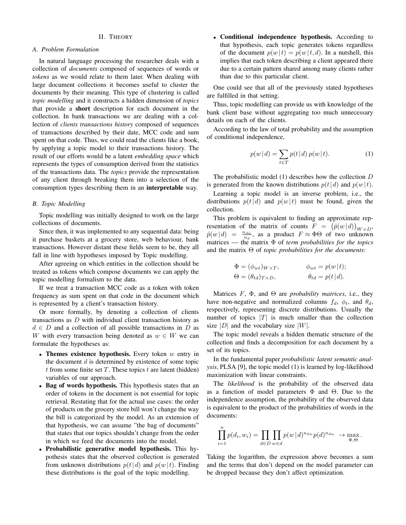## II. THEORY

## *A. Problem Formulation*

In natural language processing the researcher deals with a collection of *documents* composed of sequences of words or *tokens* as we would relate to them later. When dealing with large document collections it becomes useful to cluster the documents by their meaning. This type of clustering is called *topic modelling* and it constructs a hidden dimension of *topics* that provide a short description for each document in the collection. In bank transactions we are dealing with a collection of *clients transactions history* composed of sequences of transactions described by their date, MCC code and sum spent on that code. Thus, we could read the clients like a book, by applying a topic model to their transactions history. The result of our efforts would be a latent *embedding space* which represents the types of consumption derived from the statistics of the transactions data. The *topics* provide the representation of any client through breaking them into a selection of the consumption types describing them in an interpretable way.

## *B. Topic Modelling*

Topic modelling was initially designed to work on the large collections of documents.

Since then, it was implemented to any sequential data: being it purchase baskets at a grocery store, web behaviour, bank transactions. However distant these fields seem to be, they all fall in line with hypotheses imposed by Topic modelling.

After agreeing on which entities in the collection should be treated as tokens which compose documents we can apply the topic modelling formalism to the data.

If we treat a transaction MCC code as a token with token frequency as sum spent on that code in the document which is represented by a client's transaction history.

Or more formally, by denoting a collection of clients transactions as D with individual client transaction history as  $d \in D$  and a collection of all possible transactions in D as W with every transaction being denoted as  $w \in W$  we can formulate the hypotheses as:

- Themes existence hypothesis. Every token  $w$  entry in the document  $d$  is determined by existence of some topic  $t$  from some finite set  $T$ . These topics  $t$  are latent (hidden) variables of our approach.
- Bag of words hypothesis. This hypothesis states that an order of tokens in the document is not essential for topic retrieval. Restating that for the actual use cases: the order of products on the grocery store bill won't change the way the bill is categorized by the model. As an extension of that hypothesis, we can assume "the bag of documents" that states that our topics shouldn't change from the order in which we feed the documents into the model.
- Probabilistic generative model hypothesis. This hypothesis states that the observed collection is generated from unknown distributions  $p(t|d)$  and  $p(w|t)$ . Finding these distributions is the goal of the topic modelling.

• Conditional independence hypothesis. According to that hypothesis, each topic generates tokens regardless of the document  $p(w|t) = p(w|t, d)$ . In a nutshell, this implies that each token describing a client appeared there due to a certain pattern shared among many clients rather than due to this particular client.

One could see that all of the previously stated hypotheses are fulfilled in that setting.

Thus, topic modelling can provide us with knowledge of the bank client base without aggregating too much unnecessary details on each of the clients.

According to the law of total probability and the assumption of conditional independence,

$$
p(w | d) = \sum_{t \in T} p(t | d) p(w | t).
$$
 (1)

The probabilistic model  $(1)$  describes how the collection  $D$ is generated from the known distributions  $p(t|d)$  and  $p(w|t)$ .

Learning a topic model is an inverse problem, i.e., the distributions  $p(t|d)$  and  $p(w|t)$  must be found, given the collection.

This problem is equivalent to finding an approximate representation of the matrix of counts  $F = (\hat{p}(w|d))_{W \times D}$ ,  $\hat{p}(w|d) = \frac{n_{dw}}{n_d}$ , as a product  $F \approx \Phi \Theta$  of two unknown matrices — the matrix Φ of *term probabilities for the topics* and the matrix Θ of *topic probabilities for the documents*:

$$
\Phi = (\phi_{wt})_{W \times T}, \qquad \phi_{wt} = p(w|t);
$$
  
\n
$$
\Theta = (\theta_{td})_{T \times D}, \qquad \theta_{td} = p(t|d).
$$

Matrices  $F$ ,  $\Phi$ , and  $\Theta$  are *probability matrices*, i.e., they have non-negative and normalized columns  $f_d$ ,  $\phi_t$ , and  $\theta_d$ , respectively, representing discrete distributions. Usually the number of topics  $|T|$  is much smaller than the collection size  $|D|$  and the vocabulary size  $|W|$ .

The topic model reveals a hidden thematic structure of the collection and finds a decomposition for each document by a set of its topics.

In the fundamental paper *probabilistic latent semantic analysis*, PLSA [9], the topic model (1) is learned by log-likelihood maximization with linear constraints.

The *likelihood* is the probability of the observed data as a function of model parameters  $\Phi$  and  $\Theta$ . Due to the independence assumption, the probability of the observed data is equivalent to the product of the probabilities of words in the documents:

$$
\prod_{i=1}^n p(d_i, w_i) = \prod_{d \in D} \prod_{w \in d} p(w | d)^{n_{dw}} p(d)^{n_{dw}} \rightarrow \max_{\Phi, \Theta}.
$$

Taking the logarithm, the expression above becomes a sum and the terms that don't depend on the model parameter can be dropped because they don't affect optimization.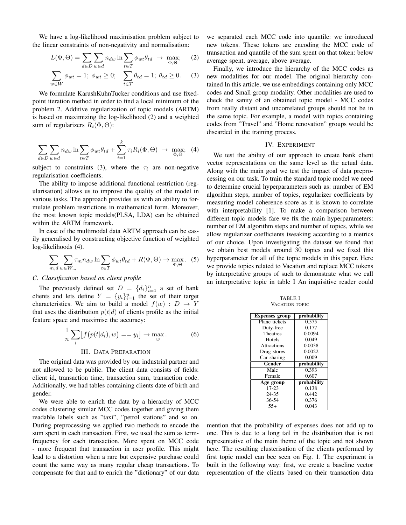We have a log-likelihood maximisation problem subject to the linear constraints of non-negativity and normalisation:

$$
L(\Phi, \Theta) = \sum_{d \in D} \sum_{w \in d} n_{dw} \ln \sum_{t \in T} \phi_{wt} \theta_{td} \rightarrow \max_{\Phi, \Theta}; \quad (2)
$$

$$
\sum_{w \in W} \phi_{wt} = 1; \ \phi_{wt} \ge 0; \quad \sum_{t \in T} \theta_{td} = 1; \ \theta_{td} \ge 0. \tag{3}
$$

We formulate KarushKuhnTucker conditions and use fixedpoint iteration method in order to find a local minimum of the problem 2. Additive regularization of topic models (ARTM) is based on maximizing the log-likelihood (2) and a weighted sum of regularizers  $R_i(\Phi, \Theta)$ :

$$
\sum_{d \in D} \sum_{w \in d} n_{dw} \ln \sum_{t \in T} \phi_{wt} \theta_{td} + \sum_{i=1}^k \tau_i R_i(\Phi, \Theta) \rightarrow \max_{\Phi, \Theta}; \tag{4}
$$

subject to constraints (3), where the  $\tau_i$  are non-negative regularisation coefficients.

The ability to impose additional functional restriction (regularisation) allows us to improve the quality of the model in various tasks. The approach provides us with an ability to formulate problem restrictions in mathematical form. Moreover, the most known topic models(PLSA, LDA) can be obtained within the ARTM framework.

In case of the multimodal data ARTM approach can be easily generalised by constructing objective function of weighted log-likelihoods (4).

$$
\sum_{m,d} \sum_{w \in W_m} \tau_m n_{dw} \ln \sum_{t \in T} \phi_{wt} \theta_{td} + R(\Phi, \Theta) \to \max_{\Phi, \Theta} . \tag{5}
$$

## *C. Classification based on client profile*

The previously defined set  $D = \{d_i\}_{i=1}^n$  a set of bank clients and lets define  $Y = \{y_i\}_{i=1}^n$  the set of their target characteristics. We aim to build a model  $f(w) : D \to Y$ that uses the distribution  $p(t|d)$  of clients profile as the initial feature space and maximise the accuracy:

$$
\frac{1}{n}\sum_{i}[f(p(t|d_i), w) == y_i] \to \max_{w}.
$$
 (6)

#### III. DATA PREPARATION

The original data was provided by our industrial partner and not allowed to be public. The client data consists of fields: client id, transaction time, transaction sum, transaction code. Additionally, we had tables containing clients date of birth and gender.

We were able to enrich the data by a hierarchy of MCC codes clustering similar MCC codes together and giving them readable labels such as "taxi", "petrol stations" and so on. During preprocessing we applied two methods to encode the sum spent in each transaction. First, we used the sum as termfrequency for each transaction. More spent on MCC code - more frequent that transaction in user profile. This might lead to a distortion when a rare but expensive purchase could count the same way as many regular cheap transactions. To compensate for that and to enrich the "dictionary" of our data we separated each MCC code into quantile: we introduced new tokens. These tokens are encoding the MCC code of transaction and quantile of the sum spent on that token: below average spent, average, above average.

Finally, we introduce the hierarchy of the MCC codes as new modalities for our model. The original hierarchy contained In this article, we use embeddings containing only MCC codes and Small group modality. Other modalities are used to check the sanity of an obtained topic model - MCC codes from really distant and uncorrelated groups should not be in the same topic. For example, a model with topics containing codes from "Travel" and "Home renovation" groups would be discarded in the training process.

#### IV. EXPERIMENT

We test the ability of our approach to create bank client vector representations on the same level as the actual data. Along with the main goal we test the impact of data preprocessing on our task. To train the standard topic model we need to determine crucial hyperparameters such as: number of EM algorithm steps, number of topics, regularizer coefficients by measuring model coherence score as it is known to correlate with interpretability [1]. To make a comparison between different topic models fare we fix the main hyperparameters: number of EM algorithm steps and number of topics, while we allow regularizer coefficients tweaking according to a metrics of our choice. Upon investigating the dataset we found that we obtain best models around 30 topics and we fixed this hyperparameter for all of the topic models in this paper. Here we provide topics related to Vacation and replace MCC tokens by interpretative groups of such to demonstrate what we call an interpretative topic in table I An inquisitive reader could

| <b>VACATION TOPIC</b> |             |  |  |
|-----------------------|-------------|--|--|
| <b>Expenses group</b> | probability |  |  |
| Plane tickets         | 0.575       |  |  |
| Duty-free             | 0.177       |  |  |
| <b>Theatres</b>       | 0.0094      |  |  |
| Hotels                | 0.049       |  |  |
| <b>Attractions</b>    | 0.0038      |  |  |
| Drug stores           | 0.0022      |  |  |
| Car sharing           | 0.009       |  |  |
| Gender                | probability |  |  |
| Male                  | 0.393       |  |  |
| Female                | 0.607       |  |  |
| Age group             | probability |  |  |
| $17 - 23$             | 0.138       |  |  |
| 24-35                 | 0.442       |  |  |
| 36-54                 | 0.376       |  |  |
| $55+$                 | 0.043       |  |  |

TABLE I

mention that the probability of expenses does not add up to one. This is due to a long tail in the distribution that is not representative of the main theme of the topic and not shown here. The resulting clusterisation of the clients performed by first topic model can bee seen on Fig. 1. The experiment is built in the following way: first, we create a baseline vector representation of the clients based on their transaction data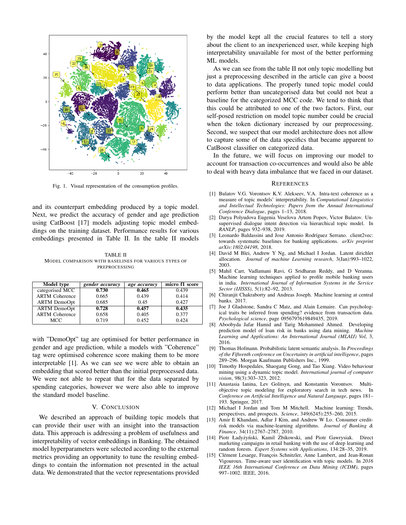

Fig. 1. Visual representation of the consumption profiles.

and its counterpart embedding produced by a topic model. Next, we predict the accuracy of gender and age prediction using CatBoost [17] models adjusting topic model embeddings on the training dataset. Performance results for various embeddings presented in Table II. In the table II models

TABLE II MODEL COMPARISON WITH BASELINES FOR VARIOUS TYPES OF PREPROCESSING

| Model type            | gender accuracy | age accuracy | micro f1 score |
|-----------------------|-----------------|--------------|----------------|
| categorised MCC       | 0.730           | 0.465        | 0.439          |
| <b>ARTM Coherence</b> | 0.665           | 0.439        | 0.414          |
| <b>ARTM</b> DemoOpt   | 0.685           | 0.45         | 0.427          |
| <b>ARTM</b> DemoOpt   | 0.728           | 0.457        | 0.435          |
| <b>ARTM Coherence</b> | 0.658           | 0.405        | 0.377          |
| <b>MCC</b>            | 0.719           | 0.452        | 0.424          |

with "DemoOpt" tag are optimised for better performance in gender and age prediction, while a models with "Coherence" tag were optimised coherence score making them to be more interpretable [1]. As we can see we were able to obtain an embedding that scored better than the initial preprocessed data. We were not able to repeat that for the data separated by spending categories, however we were also able to improve the standard model baseline.

#### V. CONCLUSION

We described an approach of building topic models that can provide their user with an insight into the transaction data. This approach is addressing a problem of usefulness and interpretability of vector embeddings in Banking. The obtained model hyperparameters were selected according to the external metrics providing an opportunity to tune the resulting embeddings to contain the information not presented in the actual data. We demonstrated that the vector representations provided

by the model kept all the crucial features to tell a story about the client to an inexperienced user, while keeping high interpretability unavailable for most of the better performing ML models.

As we can see from the table II not only topic modelling but just a preprocessing described in the article can give a boost to data applications. The properly tuned topic model could perform better than uncategorised data but could not beat a baseline for the categorized MCC code. We tend to think that this could be attributed to one of the two factors. First, our self-posed restriction on model topic number could be crucial when the token dictionary increased by our preprocessing. Second, we suspect that our model architecture does not allow to capture some of the data specifics that became apparent to CatBoost classifier on categorized data.

In the future, we will focus on improving our model to account for transaction co-occurrences and would also be able to deal with heavy data imbalance that we faced in our dataset.

#### **REFERENCES**

- [1] Bulatov V.G. Vorontsov K.V. Alekseev, V.A. Intra-text coherence as a measure of topic models' interpretability. In *Computational Linguistics and Intellectual Technologies: Papers from the Annual International Conference Dialogue*, pages 1–13, 2018.
- [2] Darya Polyudova Eugenia Veselova Artem Popov, Victor Bulatov. Unsupervised dialogue intent detection via hierarchical topic model. In *RANLP*, pages 932–938, 2019.
- [3] Leonardo Baldassini and Jose Antonio Rodríguez Serrano. client2vec: towards systematic baselines for banking applications. *arXiv preprint arXiv:1802.04198*, 2018.
- [4] David M Blei, Andrew Y Ng, and Michael I Jordan. Latent dirichlet allocation. *Journal of machine Learning research*, 3(Jan):993–1022, 2003.
- [5] Mahil Carr, Vadlamani Ravi, G Sridharan Reddy, and D Veranna. Machine learning techniques applied to profile mobile banking users in india. *International Journal of Information Systems in the Service Sector (IJISSS)*, 5(1):82–92, 2013.
- [6] Chiranjit Chakraborty and Andreas Joseph. Machine learning at central banks. 2017.
- [7] Joe J Gladstone, Sandra C Matz, and Alain Lemaire. Can psychological traits be inferred from spending? evidence from transaction data. *Psychological science*, page 0956797619849435, 2019.
- [8] Aboobyda Jafar Hamid and Tarig Mohammed Ahmed. Developing prediction model of loan risk in banks using data mining. *Machine Learning and Applications: An International Journal (MLAIJ) Vol*, 3, 2016.
- [9] Thomas Hofmann. Probabilistic latent semantic analysis. In *Proceedings of the Fifteenth conference on Uncertainty in artificial intelligence*, pages 289–296. Morgan Kaufmann Publishers Inc., 1999.
- [10] Timothy Hospedales, Shaogang Gong, and Tao Xiang. Video behaviour mining using a dynamic topic model. *International journal of computer vision*, 98(3):303–323, 2012.
- [11] Anastasia Ianina, Lev Golitsyn, and Konstantin Vorontsov. Multiobjective topic modeling for exploratory search in tech news. In *Conference on Artificial Intelligence and Natural Language*, pages 181– 193. Springer, 2017.
- [12] Michael I Jordan and Tom M Mitchell. Machine learning: Trends, perspectives, and prospects. *Science*, 349(6245):255–260, 2015.
- Amir E Khandani, Adlar J Kim, and Andrew W Lo. Consumer creditrisk models via machine-learning algorithms. *Journal of Banking & Finance*, 34(11):2767–2787, 2010.
- [14] Piotr Ładyżyński, Kamil Żbikowski, and Piotr Gawrysiak. Direct marketing campaigns in retail banking with the use of deep learning and random forests. *Expert Systems with Applications*, 134:28–35, 2019.
- [15] Clément Lesaege, François Schnitzler, Anne Lambert, and Jean-Ronan Vigouroux. Time-aware user identification with topic models. In *2016 IEEE 16th International Conference on Data Mining (ICDM)*, pages 997–1002. IEEE, 2016.